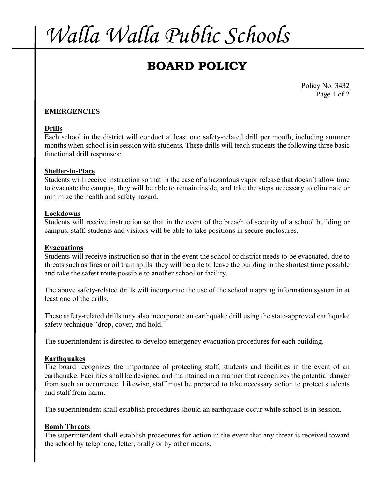# *Walla Walla Public Schools*

# **BOARD POLICY**

Policy No. 3432 Page 1 of 2

## **EMERGENCIES**

### **Drills**

Each school in the district will conduct at least one safety-related drill per month, including summer months when school is in session with students. These drills will teach students the following three basic functional drill responses:

#### **Shelter-in-Place**

Students will receive instruction so that in the case of a hazardous vapor release that doesn't allow time to evacuate the campus, they will be able to remain inside, and take the steps necessary to eliminate or minimize the health and safety hazard.

#### **Lockdowns**

Students will receive instruction so that in the event of the breach of security of a school building or campus; staff, students and visitors will be able to take positions in secure enclosures.

#### **Evacuations**

Students will receive instruction so that in the event the school or district needs to be evacuated, due to threats such as fires or oil train spills, they will be able to leave the building in the shortest time possible and take the safest route possible to another school or facility.

The above safety-related drills will incorporate the use of the school mapping information system in at least one of the drills.

These safety-related drills may also incorporate an earthquake drill using the state-approved earthquake safety technique "drop, cover, and hold."

The superintendent is directed to develop emergency evacuation procedures for each building.

### **Earthquakes**

The board recognizes the importance of protecting staff, students and facilities in the event of an earthquake. Facilities shall be designed and maintained in a manner that recognizes the potential danger from such an occurrence. Likewise, staff must be prepared to take necessary action to protect students and staff from harm.

The superintendent shall establish procedures should an earthquake occur while school is in session.

#### **Bomb Threats**

The superintendent shall establish procedures for action in the event that any threat is received toward the school by telephone, letter, orally or by other means.